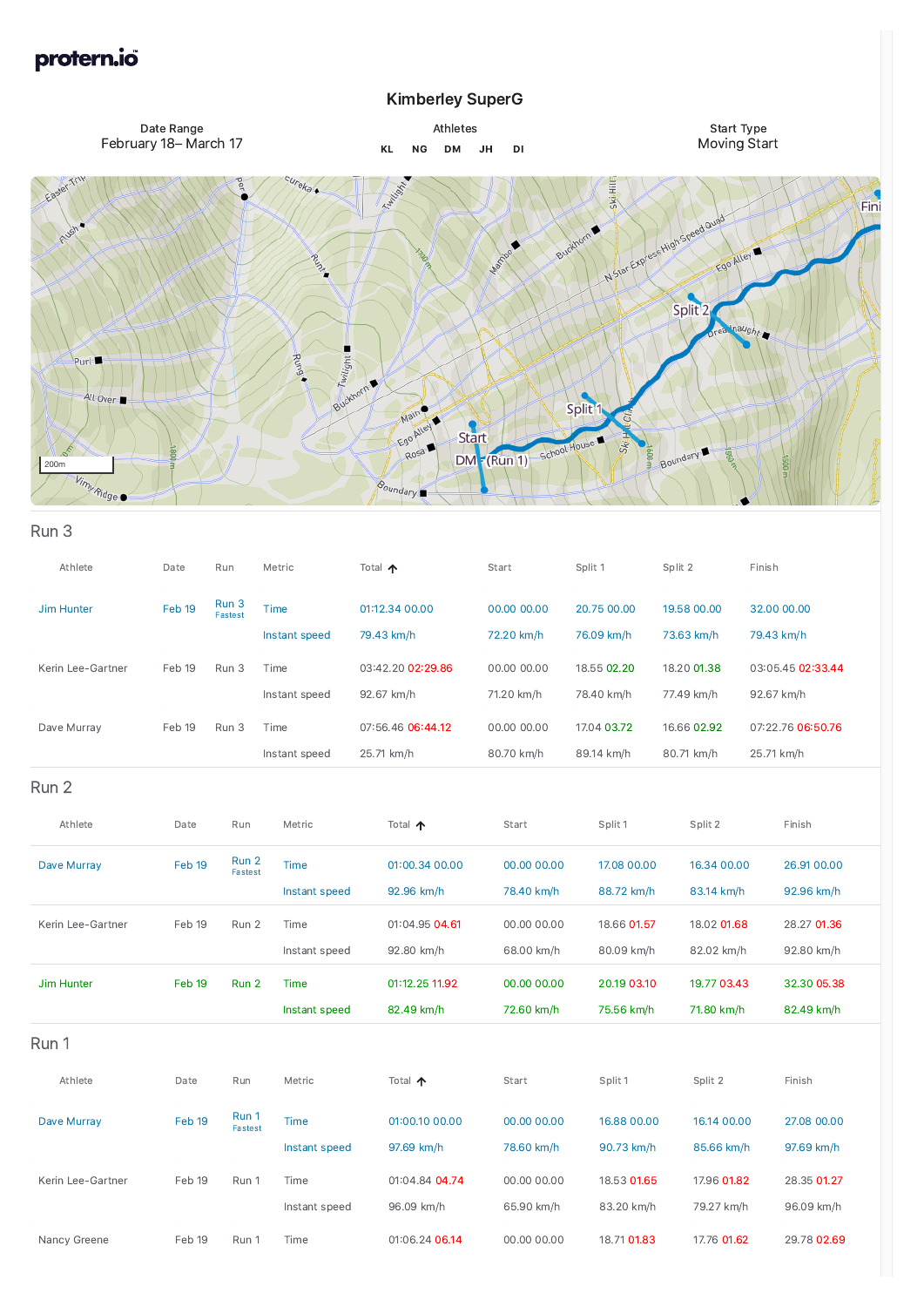## protern.io®

## Kimberley SuperG

## Run 3



| Athlete           | Date   | Run              | Metric                       | Total 个                         | Start                     | Split 1                   | Split 2                   | Finish                          |
|-------------------|--------|------------------|------------------------------|---------------------------------|---------------------------|---------------------------|---------------------------|---------------------------------|
| Jim Hunter        | Feb 19 | Run 3<br>Fastest | <b>Time</b><br>Instant speed | 01:12.34 00.00<br>79.43 km/h    | 00.00 00.00<br>72.20 km/h | 20.75 00.00<br>76.09 km/h | 19.58 00.00<br>73.63 km/h | 32.00 00.00<br>79.43 km/h       |
| Kerin Lee-Gartner | Feb 19 | Run 3            | Time<br>Instant speed        | 03:42.20 02:29.86<br>92.67 km/h | 00.00 00.00<br>71.20 km/h | 18.55 02.20<br>78.40 km/h | 18.20 01.38<br>77.49 km/h | 03:05.45 02:33.44<br>92.67 km/h |
| Dave Murray       | Feb 19 | Run 3            | Time<br>Instant speed        | 07:56.46 06:44.12<br>25.71 km/h | 00.00 00.00<br>80.70 km/h | 17.04 03.72<br>89.14 km/h | 16.66 02.92<br>80.71 km/h | 07:22.76 06:50.76<br>25.71 km/h |
| Run 2             |        |                  |                              |                                 |                           |                           |                           |                                 |
| Athlete           | Date   | Run              | Metric                       | Total 个                         | Start                     | Split 1                   | Split 2                   | Finish                          |
| Dave Murray       | Feb 19 | Run 2<br>Fastest | Time<br>Instant speed        | 01:00.34 00.00<br>92.96 km/h    | 00.00 00.00<br>78.40 km/h | 17.08 00.00<br>88.72 km/h | 16.34 00.00<br>83.14 km/h | 26.91 00.00<br>92.96 km/h       |
| Kerin Lee-Gartner | Feb 19 | Run 2            | Time<br>Instant speed        | 01:04.95 04.61<br>92.80 km/h    | 00.00 00.00<br>68.00 km/h | 18.66 01.57<br>80.09 km/h | 18.02 01.68<br>82.02 km/h | 28.27 01.36<br>92.80 km/h       |
| Jim Hunter        | Feb 19 | Run 2            | Time<br>Instant speed        | 01:12.25 11.92<br>82.49 km/h    | 00.00 00.00<br>72.60 km/h | 20.19 03.10<br>75.56 km/h | 19.77 03.43<br>71.80 km/h | 32.30 05.38<br>82.49 km/h       |
| Run 1             |        |                  |                              |                                 |                           |                           |                           |                                 |
| Athlete           | Date   | Run              | Metric                       | Total 个                         | Start                     | Split 1                   | Split 2                   | Finish                          |
| Dave Murray       | Feb 19 | Run 1<br>Fastest | Time<br>Instant speed        | 01:00.10 00.00<br>97.69 km/h    | 00.00 00.00<br>78.60 km/h | 16.88 00.00<br>90.73 km/h | 16.14 00.00<br>85.66 km/h | 27.08 00.00<br>97.69 km/h       |
| Kerin Lee-Gartner | Feb 19 | Run 1            | Time<br>Instant speed        | 01:04.84 04.74<br>96.09 km/h    | 00.00 00.00<br>65.90 km/h | 18.53 01.65<br>83.20 km/h | 17.96 01.82<br>79.27 km/h | 28.35 01.27<br>96.09 km/h       |
| Nancy Greene      | Feb 19 | Run 1            | Time                         | 01:06.24 06.14                  | 00.00 00.00               | 18.71 01.83               | 17.76 01.62               | 29.78 02.69                     |